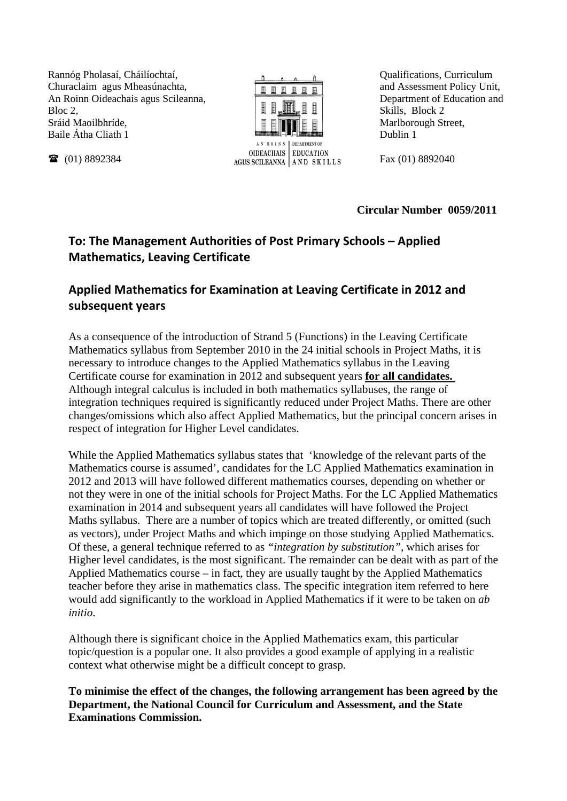Rannóg Pholasaí, Cháilíochtaí, Churaclaim agus Mheasúnachta, An Roinn Oideachais agus Scileanna, Bloc 2. Sráid Maoilbhríde, Baile Átha Cliath 1

■ (01) 8892384



Qualifications, Curriculum and Assessment Policy Unit, Department of Education and Skills, Block 2 Marlborough Street, Dublin 1

Fax (01) 8892040

**Circular Number 0059/2011** 

## **To: The Management Authorities of Post Primary Schools – Applied Mathematics, Leaving Certificate**

## **Applied Mathematics for Examination at Leaving Certificate in 2012 and subsequent years**

As a consequence of the introduction of Strand 5 (Functions) in the Leaving Certificate Mathematics syllabus from September 2010 in the 24 initial schools in Project Maths, it is necessary to introduce changes to the Applied Mathematics syllabus in the Leaving Certificate course for examination in 2012 and subsequent years **for all candidates.**  Although integral calculus is included in both mathematics syllabuses, the range of integration techniques required is significantly reduced under Project Maths. There are other changes/omissions which also affect Applied Mathematics, but the principal concern arises in respect of integration for Higher Level candidates.

While the Applied Mathematics syllabus states that 'knowledge of the relevant parts of the Mathematics course is assumed', candidates for the LC Applied Mathematics examination in 2012 and 2013 will have followed different mathematics courses, depending on whether or not they were in one of the initial schools for Project Maths. For the LC Applied Mathematics examination in 2014 and subsequent years all candidates will have followed the Project Maths syllabus. There are a number of topics which are treated differently, or omitted (such as vectors), under Project Maths and which impinge on those studying Applied Mathematics. Of these, a general technique referred to as *"integration by substitution"*, which arises for Higher level candidates, is the most significant. The remainder can be dealt with as part of the Applied Mathematics course – in fact, they are usually taught by the Applied Mathematics teacher before they arise in mathematics class. The specific integration item referred to here would add significantly to the workload in Applied Mathematics if it were to be taken on *ab initio*.

Although there is significant choice in the Applied Mathematics exam, this particular topic/question is a popular one. It also provides a good example of applying in a realistic context what otherwise might be a difficult concept to grasp.

**To minimise the effect of the changes, the following arrangement has been agreed by the Department, the National Council for Curriculum and Assessment, and the State Examinations Commission.**